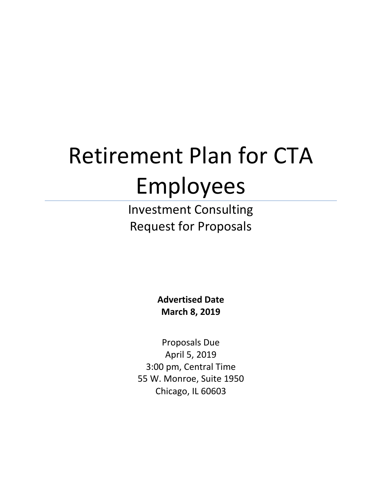# Retirement Plan for CTA Employees

Investment Consulting Request for Proposals

> **Advertised Date March 8, 2019**

Proposals Due April 5, 2019 3:00 pm, Central Time 55 W. Monroe, Suite 1950 Chicago, IL 60603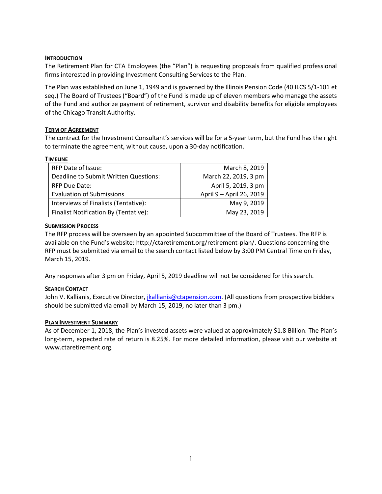## **INTRODUCTION**

The Retirement Plan for CTA Employees (the "Plan") is requesting proposals from qualified professional firms interested in providing Investment Consulting Services to the Plan.

The Plan was established on June 1, 1949 and is governed by the Illinois Pension Code (40 ILCS 5/1-101 et seq.) The Board of Trustees ("Board") of the Fund is made up of eleven members who manage the assets of the Fund and authorize payment of retirement, survivor and disability benefits for eligible employees of the Chicago Transit Authority.

# **TERM OF AGREEMENT**

The contract for the Investment Consultant's services will be for a 5-year term, but the Fund has the right to terminate the agreement, without cause, upon a 30-day notification.

## **TIMELINE**

| <b>RFP Date of Issue:</b>             | March 8, 2019            |
|---------------------------------------|--------------------------|
| Deadline to Submit Written Questions: | March 22, 2019, 3 pm     |
| <b>RFP Due Date:</b>                  | April 5, 2019, 3 pm      |
| <b>Evaluation of Submissions</b>      | April 9 - April 26, 2019 |
| Interviews of Finalists (Tentative):  | May 9, 2019              |
| Finalist Notification By (Tentative): | May 23, 2019             |

# **SUBMISSION PROCESS**

The RFP process will be overseen by an appointed Subcommittee of the Board of Trustees. The RFP is available on the Fund's website: http://ctaretirement.org/retirement-plan/. Questions concerning the RFP must be submitted via email to the search contact listed below by 3:00 PM Central Time on Friday, March 15, 2019.

Any responses after 3 pm on Friday, April 5, 2019 deadline will not be considered for this search.

# **SEARCH CONTACT**

John V. Kallianis, Executive Director[, jkallianis@ctapension.com.](mailto:jkallianis@ctapension.com) (All questions from prospective bidders should be submitted via email by March 15, 2019, no later than 3 pm.)

## **PLAN INVESTMENT SUMMARY**

As of December 1, 2018, the Plan's invested assets were valued at approximately \$1.8 Billion. The Plan's long-term, expected rate of return is 8.25%. For more detailed information, please visit our website at www.ctaretirement.org.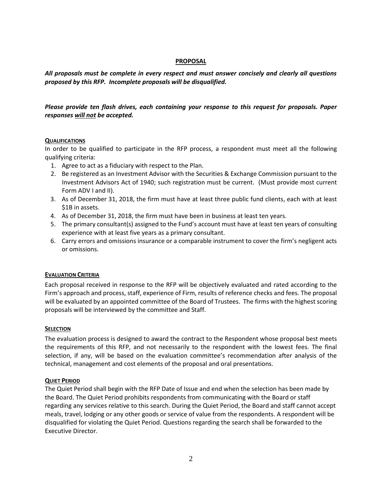#### **PROPOSAL**

*All proposals must be complete in every respect and must answer concisely and clearly all questions proposed by this RFP. Incomplete proposals will be disqualified.*

# *Please provide ten flash drives, each containing your response to this request for proposals. Paper responses will not be accepted.*

## **QUALIFICATIONS**

In order to be qualified to participate in the RFP process, a respondent must meet all the following qualifying criteria:

- 1. Agree to act as a fiduciary with respect to the Plan.
- 2. Be registered as an Investment Advisor with the Securities & Exchange Commission pursuant to the Investment Advisors Act of 1940; such registration must be current. (Must provide most current Form ADV I and II).
- 3. As of December 31, 2018, the firm must have at least three public fund clients, each with at least \$1B in assets.
- 4. As of December 31, 2018, the firm must have been in business at least ten years.
- 5. The primary consultant(s) assigned to the Fund's account must have at least ten years of consulting experience with at least five years as a primary consultant.
- 6. Carry errors and omissions insurance or a comparable instrument to cover the firm's negligent acts or omissions.

#### **EVALUATION CRITERIA**

Each proposal received in response to the RFP will be objectively evaluated and rated according to the Firm's approach and process, staff, experience of Firm, results of reference checks and fees. The proposal will be evaluated by an appointed committee of the Board of Trustees. The firms with the highest scoring proposals will be interviewed by the committee and Staff.

#### **SELECTION**

The evaluation process is designed to award the contract to the Respondent whose proposal best meets the requirements of this RFP, and not necessarily to the respondent with the lowest fees. The final selection, if any, will be based on the evaluation committee's recommendation after analysis of the technical, management and cost elements of the proposal and oral presentations.

#### **QUIET PERIOD**

The Quiet Period shall begin with the RFP Date of Issue and end when the selection has been made by the Board. The Quiet Period prohibits respondents from communicating with the Board or staff regarding any services relative to this search. During the Quiet Period, the Board and staff cannot accept meals, travel, lodging or any other goods or service of value from the respondents. A respondent will be disqualified for violating the Quiet Period. Questions regarding the search shall be forwarded to the Executive Director.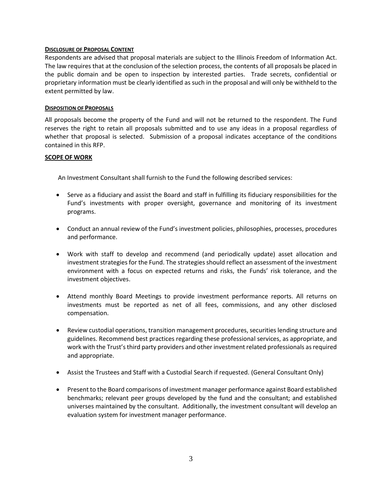#### **DISCLOSURE OF PROPOSAL CONTENT**

Respondents are advised that proposal materials are subject to the Illinois Freedom of Information Act. The law requires that at the conclusion of the selection process, the contents of all proposals be placed in the public domain and be open to inspection by interested parties. Trade secrets, confidential or proprietary information must be clearly identified as such in the proposal and will only be withheld to the extent permitted by law.

#### **DISPOSITION OF PROPOSALS**

All proposals become the property of the Fund and will not be returned to the respondent. The Fund reserves the right to retain all proposals submitted and to use any ideas in a proposal regardless of whether that proposal is selected. Submission of a proposal indicates acceptance of the conditions contained in this RFP.

#### **SCOPE OF WORK**

An Investment Consultant shall furnish to the Fund the following described services:

- Serve as a fiduciary and assist the Board and staff in fulfilling its fiduciary responsibilities for the Fund's investments with proper oversight, governance and monitoring of its investment programs.
- Conduct an annual review of the Fund's investment policies, philosophies, processes, procedures and performance.
- Work with staff to develop and recommend (and periodically update) asset allocation and investment strategies for the Fund. The strategiesshould reflect an assessment of the investment environment with a focus on expected returns and risks, the Funds' risk tolerance, and the investment objectives.
- Attend monthly Board Meetings to provide investment performance reports. All returns on investments must be reported as net of all fees, commissions, and any other disclosed compensation.
- Review custodial operations, transition management procedures, securities lending structure and guidelines. Recommend best practices regarding these professional services, as appropriate, and work with the Trust's third party providers and other investment related professionals as required and appropriate.
- Assist the Trustees and Staff with a Custodial Search if requested. (General Consultant Only)
- Present to the Board comparisons of investment manager performance against Board established benchmarks; relevant peer groups developed by the fund and the consultant; and established universes maintained by the consultant. Additionally, the investment consultant will develop an evaluation system for investment manager performance.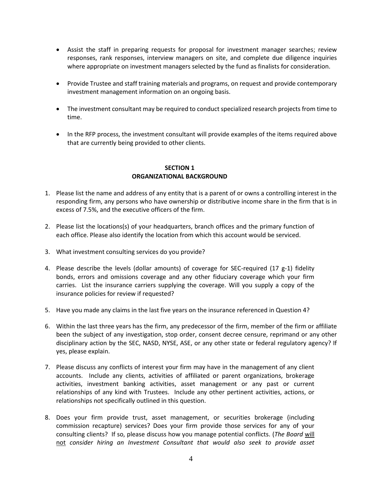- Assist the staff in preparing requests for proposal for investment manager searches; review responses, rank responses, interview managers on site, and complete due diligence inquiries where appropriate on investment managers selected by the fund as finalists for consideration.
- Provide Trustee and staff training materials and programs, on request and provide contemporary investment management information on an ongoing basis.
- The investment consultant may be required to conduct specialized research projects from time to time.
- In the RFP process, the investment consultant will provide examples of the items required above that are currently being provided to other clients.

## **SECTION 1 ORGANIZATIONAL BACKGROUND**

- 1. Please list the name and address of any entity that is a parent of or owns a controlling interest in the responding firm, any persons who have ownership or distributive income share in the firm that is in excess of 7.5%, and the executive officers of the firm.
- 2. Please list the locations(s) of your headquarters, branch offices and the primary function of each office. Please also identify the location from which this account would be serviced.
- 3. What investment consulting services do you provide?
- 4. Please describe the levels (dollar amounts) of coverage for SEC-required  $(17 g-1)$  fidelity bonds, errors and omissions coverage and any other fiduciary coverage which your firm carries. List the insurance carriers supplying the coverage. Will you supply a copy of the insurance policies for review if requested?
- 5. Have you made any claims in the last five years on the insurance referenced in Question 4?
- 6. Within the last three years has the firm, any predecessor of the firm, member of the firm or affiliate been the subject of any investigation, stop order, consent decree censure, reprimand or any other disciplinary action by the SEC, NASD, NYSE, ASE, or any other state or federal regulatory agency? If yes, please explain.
- 7. Please discuss any conflicts of interest your firm may have in the management of any client accounts. Include any clients, activities of affiliated or parent organizations, brokerage activities, investment banking activities, asset management or any past or current relationships of any kind with Trustees. Include any other pertinent activities, actions, or relationships not specifically outlined in this question.
- 8. Does your firm provide trust, asset management, or securities brokerage (including commission recapture) services? Does your firm provide those services for any of your consulting clients? If so, please discuss how you manage potential conflicts. (*The Board* will not *consider hiring an Investment Consultant that would also seek to provide asset*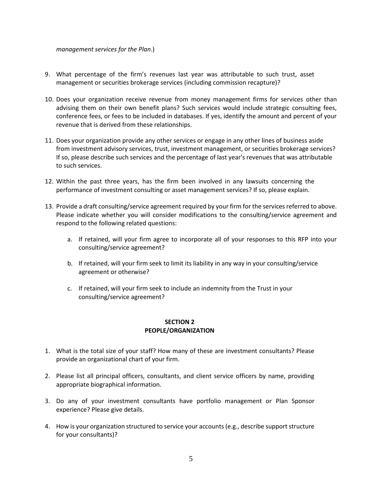*management services for the Plan*.)

- 9. What percentage of the firm's revenues last year was attributable to such trust, asset management or securities brokerage services (including commission recapture)?
- 10. Does your organization receive revenue from money management firms for services other than advising them on their own benefit plans? Such services would include strategic consulting fees, conference fees, or fees to be included in databases. If yes, identify the amount and percent of your revenue that is derived from these relationships.
- 11. Does your organization provide any other services or engage in any other lines of business aside from investment advisory services, trust, investment management, or securities brokerage services? If so, please describe such services and the percentage of last year's revenues that was attributable to such services.
- 12. Within the past three years, has the firm been involved in any lawsuits concerning the performance of investment consulting or asset management services? If so, please explain.
- 13. Provide a draft consulting/service agreement required by your firm for the services referred to above. Please indicate whether you will consider modifications to the consulting/service agreement and respond to the following related questions:
	- a. If retained, will your firm agree to incorporate all of your responses to this RFP into your consulting/service agreement?
	- b. If retained, will your firm seek to limit its liability in any way in your consulting/service agreement or otherwise?
	- c. If retained, will your firm seek to include an indemnity from the Trust in your consulting/service agreement?

## **SECTION 2 PEOPLE/ORGANIZATION**

- 1. What is the total size of your staff? How many of these are investment consultants? Please provide an organizational chart of your firm.
- 2. Please list all principal officers, consultants, and client service officers by name, providing appropriate biographical information.
- 3. Do any of your investment consultants have portfolio management or Plan Sponsor experience? Please give details.
- 4. How is your organization structured to service your accounts (e.g., describe support structure for your consultants)?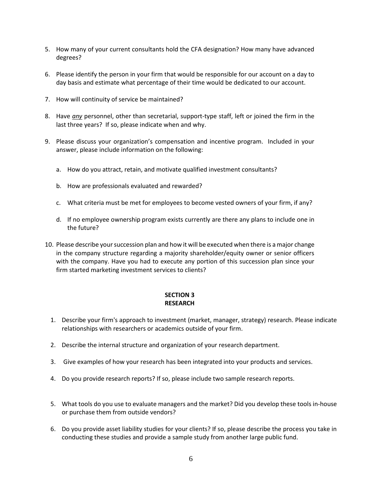- 5. How many of your current consultants hold the CFA designation? How many have advanced degrees?
- 6. Please identify the person in your firm that would be responsible for our account on a day to day basis and estimate what percentage of their time would be dedicated to our account.
- 7. How will continuity of service be maintained?
- 8. Have *any* personnel, other than secretarial, support-type staff, left or joined the firm in the last three years? If so, please indicate when and why.
- 9. Please discuss your organization's compensation and incentive program. Included in your answer, please include information on the following:
	- a. How do you attract, retain, and motivate qualified investment consultants?
	- b. How are professionals evaluated and rewarded?
	- c. What criteria must be met for employees to become vested owners of your firm, if any?
	- d. If no employee ownership program exists currently are there any plans to include one in the future?
- 10. Please describe your succession plan and how it will be executed when there is a major change in the company structure regarding a majority shareholder/equity owner or senior officers with the company. Have you had to execute any portion of this succession plan since your firm started marketing investment services to clients?

# **SECTION 3 RESEARCH**

- 1. Describe your firm's approach to investment (market, manager, strategy) research. Please indicate relationships with researchers or academics outside of your firm.
- 2. Describe the internal structure and organization of your research department.
- 3. Give examples of how your research has been integrated into your products and services.
- 4. Do you provide research reports? If so, please include two sample research reports.
- 5. What tools do you use to evaluate managers and the market? Did you develop these tools in-house or purchase them from outside vendors?
- 6. Do you provide asset liability studies for your clients? If so, please describe the process you take in conducting these studies and provide a sample study from another large public fund.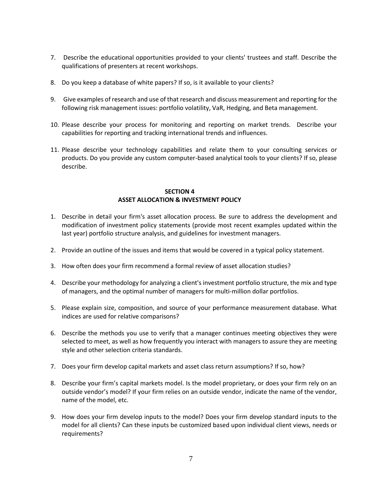- 7. Describe the educational opportunities provided to your clients' trustees and staff. Describe the qualifications of presenters at recent workshops.
- 8. Do you keep a database of white papers? If so, is it available to your clients?
- 9. Give examples of research and use of that research and discuss measurement and reporting for the following risk management issues: portfolio volatility, VaR, Hedging, and Beta management.
- 10. Please describe your process for monitoring and reporting on market trends. Describe your capabilities for reporting and tracking international trends and influences.
- 11. Please describe your technology capabilities and relate them to your consulting services or products. Do you provide any custom computer-based analytical tools to your clients? If so, please describe.

## **SECTION 4 ASSET ALLOCATION & INVESTMENT POLICY**

- 1. Describe in detail your firm's asset allocation process. Be sure to address the development and modification of investment policy statements (provide most recent examples updated within the last year) portfolio structure analysis, and guidelines for investment managers.
- 2. Provide an outline of the issues and items that would be covered in a typical policy statement.
- 3. How often does your firm recommend a formal review of asset allocation studies?
- 4. Describe your methodology for analyzing a client's investment portfolio structure, the mix and type of managers, and the optimal number of managers for multi-million dollar portfolios.
- 5. Please explain size, composition, and source of your performance measurement database. What indices are used for relative comparisons?
- 6. Describe the methods you use to verify that a manager continues meeting objectives they were selected to meet, as well as how frequently you interact with managers to assure they are meeting style and other selection criteria standards.
- 7. Does your firm develop capital markets and asset class return assumptions? If so, how?
- 8. Describe your firm's capital markets model. Is the model proprietary, or does your firm rely on an outside vendor's model? If your firm relies on an outside vendor, indicate the name of the vendor, name of the model, etc.
- 9. How does your firm develop inputs to the model? Does your firm develop standard inputs to the model for all clients? Can these inputs be customized based upon individual client views, needs or requirements?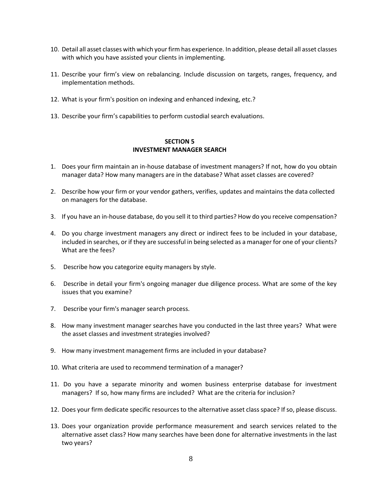- 10. Detail all asset classes with which your firm has experience. In addition, please detail all asset classes with which you have assisted your clients in implementing.
- 11. Describe your firm's view on rebalancing. Include discussion on targets, ranges, frequency, and implementation methods.
- 12. What is your firm's position on indexing and enhanced indexing, etc.?
- 13. Describe your firm's capabilities to perform custodial search evaluations.

#### **SECTION 5 INVESTMENT MANAGER SEARCH**

- 1. Does your firm maintain an in-house database of investment managers? If not, how do you obtain manager data? How many managers are in the database? What asset classes are covered?
- 2. Describe how your firm or your vendor gathers, verifies, updates and maintains the data collected on managers for the database.
- 3. If you have an in-house database, do you sell it to third parties? How do you receive compensation?
- 4. Do you charge investment managers any direct or indirect fees to be included in your database, included in searches, or if they are successful in being selected as a manager for one of your clients? What are the fees?
- 5. Describe how you categorize equity managers by style.
- 6. Describe in detail your firm's ongoing manager due diligence process. What are some of the key issues that you examine?
- 7. Describe your firm's manager search process.
- 8. How many investment manager searches have you conducted in the last three years? What were the asset classes and investment strategies involved?
- 9. How many investment management firms are included in your database?
- 10. What criteria are used to recommend termination of a manager?
- 11. Do you have a separate minority and women business enterprise database for investment managers? If so, how many firms are included? What are the criteria for inclusion?
- 12. Does your firm dedicate specific resources to the alternative asset class space? If so, please discuss.
- 13. Does your organization provide performance measurement and search services related to the alternative asset class? How many searches have been done for alternative investments in the last two years?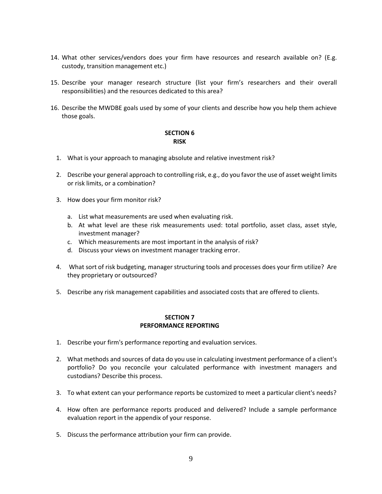- 14. What other services/vendors does your firm have resources and research available on? (E.g. custody, transition management etc.)
- 15. Describe your manager research structure (list your firm's researchers and their overall responsibilities) and the resources dedicated to this area?
- 16. Describe the MWDBE goals used by some of your clients and describe how you help them achieve those goals.

#### **SECTION 6 RISK**

- 1. What is your approach to managing absolute and relative investment risk?
- 2. Describe your general approach to controlling risk, e.g., do you favor the use of asset weight limits or risk limits, or a combination?
- 3. How does your firm monitor risk?
	- a. List what measurements are used when evaluating risk.
	- b. At what level are these risk measurements used: total portfolio, asset class, asset style, investment manager?
	- c. Which measurements are most important in the analysis of risk?
	- d. Discuss your views on investment manager tracking error.
- 4. What sort of risk budgeting, manager structuring tools and processes does your firm utilize? Are they proprietary or outsourced?
- 5. Describe any risk management capabilities and associated costs that are offered to clients.

#### **SECTION 7 PERFORMANCE REPORTING**

- 1. Describe your firm's performance reporting and evaluation services.
- 2. What methods and sources of data do you use in calculating investment performance of a client's portfolio? Do you reconcile your calculated performance with investment managers and custodians? Describe this process.
- 3. To what extent can your performance reports be customized to meet a particular client's needs?
- 4. How often are performance reports produced and delivered? Include a sample performance evaluation report in the appendix of your response.
- 5. Discuss the performance attribution your firm can provide.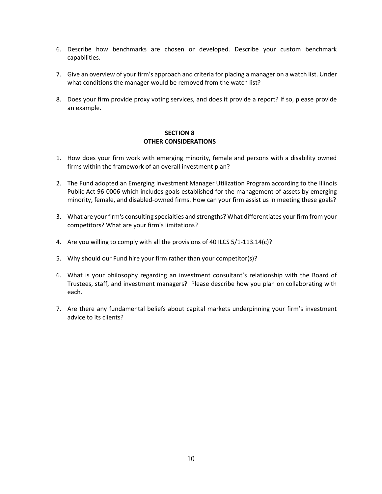- 6. Describe how benchmarks are chosen or developed. Describe your custom benchmark capabilities.
- 7. Give an overview of your firm's approach and criteria for placing a manager on a watch list. Under what conditions the manager would be removed from the watch list?
- 8. Does your firm provide proxy voting services, and does it provide a report? If so, please provide an example.

## **SECTION 8 OTHER CONSIDERATIONS**

- 1. How does your firm work with emerging minority, female and persons with a disability owned firms within the framework of an overall investment plan?
- 2. The Fund adopted an Emerging Investment Manager Utilization Program according to the Illinois Public Act 96-0006 which includes goals established for the management of assets by emerging minority, female, and disabled-owned firms. How can your firm assist us in meeting these goals?
- 3. What are your firm's consulting specialties and strengths? What differentiates your firm from your competitors? What are your firm's limitations?
- 4. Are you willing to comply with all the provisions of 40 ILCS 5/1-113.14(c)?
- 5. Why should our Fund hire your firm rather than your competitor(s)?
- 6. What is your philosophy regarding an investment consultant's relationship with the Board of Trustees, staff, and investment managers? Please describe how you plan on collaborating with each.
- 7. Are there any fundamental beliefs about capital markets underpinning your firm's investment advice to its clients?